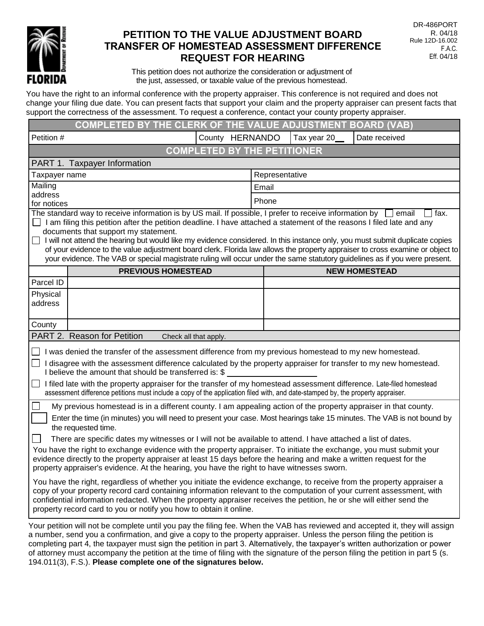

# **PETITION TO THE VALUE ADJUSTMENT BOARD** R. 04/18 TRANSFER OF HOMESTEAD ASSESSMENT DIFFERENCE<br>REQUEST FOR HEARING **REQUEST FOR HEARING**

This petition does not authorize the consideration or adjustment of the just, assessed, or taxable value of the previous homestead.

You have the right to an informal conference with the property appraiser. This conference is not required and does not change your filing due date. You can present facts that support your claim and the property appraiser can present facts that support the correctness of the assessment. To request a conference, contact your county property appraiser.

|                                                                                                                                                                                                                                                                                                                                                                                                                                                                                                                                                                                                                                                                                                                                                                                                                                                                                                                                                                                                                                                                                                                                                                              | <b>COMPLETED BY THE CLERK OF THE VALUE ADJUSTMENT BOARD (VAB)</b> |                 |                |             |                      |  |  |
|------------------------------------------------------------------------------------------------------------------------------------------------------------------------------------------------------------------------------------------------------------------------------------------------------------------------------------------------------------------------------------------------------------------------------------------------------------------------------------------------------------------------------------------------------------------------------------------------------------------------------------------------------------------------------------------------------------------------------------------------------------------------------------------------------------------------------------------------------------------------------------------------------------------------------------------------------------------------------------------------------------------------------------------------------------------------------------------------------------------------------------------------------------------------------|-------------------------------------------------------------------|-----------------|----------------|-------------|----------------------|--|--|
| Petition #                                                                                                                                                                                                                                                                                                                                                                                                                                                                                                                                                                                                                                                                                                                                                                                                                                                                                                                                                                                                                                                                                                                                                                   |                                                                   | County HERNANDO |                | Tax year 20 | Date received        |  |  |
|                                                                                                                                                                                                                                                                                                                                                                                                                                                                                                                                                                                                                                                                                                                                                                                                                                                                                                                                                                                                                                                                                                                                                                              | <b>COMPLETED BY THE PETITIONER</b>                                |                 |                |             |                      |  |  |
| PART 1. Taxpayer Information                                                                                                                                                                                                                                                                                                                                                                                                                                                                                                                                                                                                                                                                                                                                                                                                                                                                                                                                                                                                                                                                                                                                                 |                                                                   |                 |                |             |                      |  |  |
| Taxpayer name                                                                                                                                                                                                                                                                                                                                                                                                                                                                                                                                                                                                                                                                                                                                                                                                                                                                                                                                                                                                                                                                                                                                                                |                                                                   |                 | Representative |             |                      |  |  |
| Mailing                                                                                                                                                                                                                                                                                                                                                                                                                                                                                                                                                                                                                                                                                                                                                                                                                                                                                                                                                                                                                                                                                                                                                                      |                                                                   |                 | Email          |             |                      |  |  |
| address<br>for notices                                                                                                                                                                                                                                                                                                                                                                                                                                                                                                                                                                                                                                                                                                                                                                                                                                                                                                                                                                                                                                                                                                                                                       |                                                                   |                 | Phone          |             |                      |  |  |
| The standard way to receive information is by US mail. If possible, I prefer to receive information by<br>I fax.<br>email<br>I am filing this petition after the petition deadline. I have attached a statement of the reasons I filed late and any<br>documents that support my statement.<br>I will not attend the hearing but would like my evidence considered. In this instance only, you must submit duplicate copies<br>⊔<br>of your evidence to the value adjustment board clerk. Florida law allows the property appraiser to cross examine or object to<br>your evidence. The VAB or special magistrate ruling will occur under the same statutory guidelines as if you were present.                                                                                                                                                                                                                                                                                                                                                                                                                                                                              |                                                                   |                 |                |             |                      |  |  |
|                                                                                                                                                                                                                                                                                                                                                                                                                                                                                                                                                                                                                                                                                                                                                                                                                                                                                                                                                                                                                                                                                                                                                                              | <b>PREVIOUS HOMESTEAD</b>                                         |                 |                |             | <b>NEW HOMESTEAD</b> |  |  |
| Parcel ID                                                                                                                                                                                                                                                                                                                                                                                                                                                                                                                                                                                                                                                                                                                                                                                                                                                                                                                                                                                                                                                                                                                                                                    |                                                                   |                 |                |             |                      |  |  |
| Physical<br>address                                                                                                                                                                                                                                                                                                                                                                                                                                                                                                                                                                                                                                                                                                                                                                                                                                                                                                                                                                                                                                                                                                                                                          |                                                                   |                 |                |             |                      |  |  |
| County                                                                                                                                                                                                                                                                                                                                                                                                                                                                                                                                                                                                                                                                                                                                                                                                                                                                                                                                                                                                                                                                                                                                                                       |                                                                   |                 |                |             |                      |  |  |
|                                                                                                                                                                                                                                                                                                                                                                                                                                                                                                                                                                                                                                                                                                                                                                                                                                                                                                                                                                                                                                                                                                                                                                              | PART 2. Reason for Petition<br>Check all that apply.              |                 |                |             |                      |  |  |
| I was denied the transfer of the assessment difference from my previous homestead to my new homestead.<br>I disagree with the assessment difference calculated by the property appraiser for transfer to my new homestead.<br>$\Box$<br>I believe the amount that should be transferred is: \$<br>I filed late with the property appraiser for the transfer of my homestead assessment difference. Late-filed homestead<br>∐<br>assessment difference petitions must include a copy of the application filed with, and date-stamped by, the property appraiser.                                                                                                                                                                                                                                                                                                                                                                                                                                                                                                                                                                                                              |                                                                   |                 |                |             |                      |  |  |
| My previous homestead is in a different county. I am appealing action of the property appraiser in that county.<br>Enter the time (in minutes) you will need to present your case. Most hearings take 15 minutes. The VAB is not bound by<br>the requested time.<br>There are specific dates my witnesses or I will not be available to attend. I have attached a list of dates.<br>You have the right to exchange evidence with the property appraiser. To initiate the exchange, you must submit your<br>evidence directly to the property appraiser at least 15 days before the hearing and make a written request for the<br>property appraiser's evidence. At the hearing, you have the right to have witnesses sworn.<br>You have the right, regardless of whether you initiate the evidence exchange, to receive from the property appraiser a<br>copy of your property record card containing information relevant to the computation of your current assessment, with<br>confidential information redacted. When the property appraiser receives the petition, he or she will either send the<br>property record card to you or notify you how to obtain it online. |                                                                   |                 |                |             |                      |  |  |
| Your petition will not be complete until you pay the filing fee. When the VAB has reviewed and accepted it, they will assign<br>a number, send you a confirmation, and give a copy to the property appraiser. Unless the person filing the petition is<br>completing part 4, the taxpayer must sign the petition in part 3. Alternatively, the taxpayer's written authorization or power                                                                                                                                                                                                                                                                                                                                                                                                                                                                                                                                                                                                                                                                                                                                                                                     |                                                                   |                 |                |             |                      |  |  |

completing part 4, the taxpayer must sign the petition in part 3. Alternatively, the taxpayer's written authorization or power of attorney must accompany the petition at the time of filing with the signature of the person filing the petition in part 5 (s. 194.011(3), F.S.). **Please complete one of the signatures below.**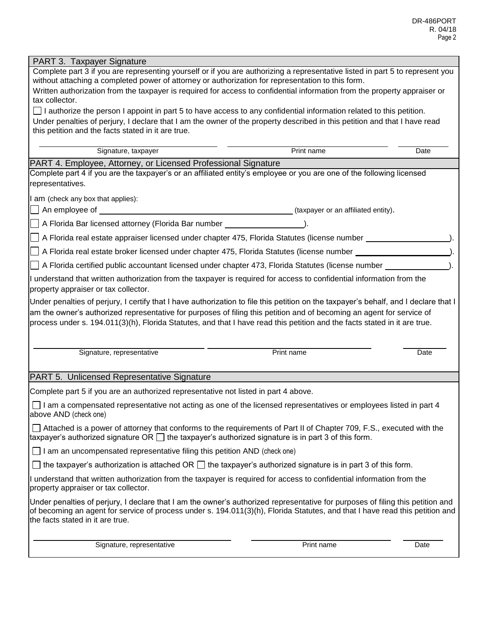| PART 3. Taxpayer Signature                                                                                                                                                                                                                                                                                                                                                                 |                                     |      |  |  |  |  |  |
|--------------------------------------------------------------------------------------------------------------------------------------------------------------------------------------------------------------------------------------------------------------------------------------------------------------------------------------------------------------------------------------------|-------------------------------------|------|--|--|--|--|--|
| Complete part 3 if you are representing yourself or if you are authorizing a representative listed in part 5 to represent you<br>without attaching a completed power of attorney or authorization for representation to this form.                                                                                                                                                         |                                     |      |  |  |  |  |  |
| Written authorization from the taxpayer is required for access to confidential information from the property appraiser or                                                                                                                                                                                                                                                                  |                                     |      |  |  |  |  |  |
| tax collector.                                                                                                                                                                                                                                                                                                                                                                             |                                     |      |  |  |  |  |  |
| $\Box$ I authorize the person I appoint in part 5 to have access to any confidential information related to this petition.                                                                                                                                                                                                                                                                 |                                     |      |  |  |  |  |  |
| Under penalties of perjury, I declare that I am the owner of the property described in this petition and that I have read<br>this petition and the facts stated in it are true.                                                                                                                                                                                                            |                                     |      |  |  |  |  |  |
|                                                                                                                                                                                                                                                                                                                                                                                            |                                     |      |  |  |  |  |  |
| Signature, taxpayer                                                                                                                                                                                                                                                                                                                                                                        | Print name                          | Date |  |  |  |  |  |
| PART 4. Employee, Attorney, or Licensed Professional Signature                                                                                                                                                                                                                                                                                                                             |                                     |      |  |  |  |  |  |
| Complete part 4 if you are the taxpayer's or an affiliated entity's employee or you are one of the following licensed                                                                                                                                                                                                                                                                      |                                     |      |  |  |  |  |  |
| representatives.                                                                                                                                                                                                                                                                                                                                                                           |                                     |      |  |  |  |  |  |
| am (check any box that applies):                                                                                                                                                                                                                                                                                                                                                           |                                     |      |  |  |  |  |  |
| An employee of ___________                                                                                                                                                                                                                                                                                                                                                                 | (taxpayer or an affiliated entity). |      |  |  |  |  |  |
| A Florida Bar licensed attorney (Florida Bar number _____________________________                                                                                                                                                                                                                                                                                                          |                                     |      |  |  |  |  |  |
| A Florida real estate appraiser licensed under chapter 475, Florida Statutes (license number ________________                                                                                                                                                                                                                                                                              |                                     |      |  |  |  |  |  |
| A Florida real estate broker licensed under chapter 475, Florida Statutes (license number __________                                                                                                                                                                                                                                                                                       |                                     |      |  |  |  |  |  |
| A Florida certified public accountant licensed under chapter 473, Florida Statutes (license number _                                                                                                                                                                                                                                                                                       |                                     |      |  |  |  |  |  |
| I understand that written authorization from the taxpayer is required for access to confidential information from the<br>property appraiser or tax collector.                                                                                                                                                                                                                              |                                     |      |  |  |  |  |  |
| Under penalties of perjury, I certify that I have authorization to file this petition on the taxpayer's behalf, and I declare that I<br>am the owner's authorized representative for purposes of filing this petition and of becoming an agent for service of<br>process under s. 194.011(3)(h), Florida Statutes, and that I have read this petition and the facts stated in it are true. |                                     |      |  |  |  |  |  |
| Signature, representative                                                                                                                                                                                                                                                                                                                                                                  | Print name                          | Date |  |  |  |  |  |
| PART 5. Unlicensed Representative Signature                                                                                                                                                                                                                                                                                                                                                |                                     |      |  |  |  |  |  |
| Complete part 5 if you are an authorized representative not listed in part 4 above.                                                                                                                                                                                                                                                                                                        |                                     |      |  |  |  |  |  |
| $\Box$ I am a compensated representative not acting as one of the licensed representatives or employees listed in part 4<br>above AND (check one)                                                                                                                                                                                                                                          |                                     |      |  |  |  |  |  |
| Attached is a power of attorney that conforms to the requirements of Part II of Chapter 709, F.S., executed with the<br>taxpayer's authorized signature OR $\Box$ the taxpayer's authorized signature is in part 3 of this form.                                                                                                                                                           |                                     |      |  |  |  |  |  |
| $\Box$ I am an uncompensated representative filing this petition AND (check one)                                                                                                                                                                                                                                                                                                           |                                     |      |  |  |  |  |  |
| $\Box$ the taxpayer's authorization is attached OR $\Box$ the taxpayer's authorized signature is in part 3 of this form.                                                                                                                                                                                                                                                                   |                                     |      |  |  |  |  |  |
| I understand that written authorization from the taxpayer is required for access to confidential information from the<br>property appraiser or tax collector.                                                                                                                                                                                                                              |                                     |      |  |  |  |  |  |
| Under penalties of perjury, I declare that I am the owner's authorized representative for purposes of filing this petition and<br>of becoming an agent for service of process under s. 194.011(3)(h), Florida Statutes, and that I have read this petition and<br>the facts stated in it are true.                                                                                         |                                     |      |  |  |  |  |  |
| Signature, representative                                                                                                                                                                                                                                                                                                                                                                  | Print name                          | Date |  |  |  |  |  |